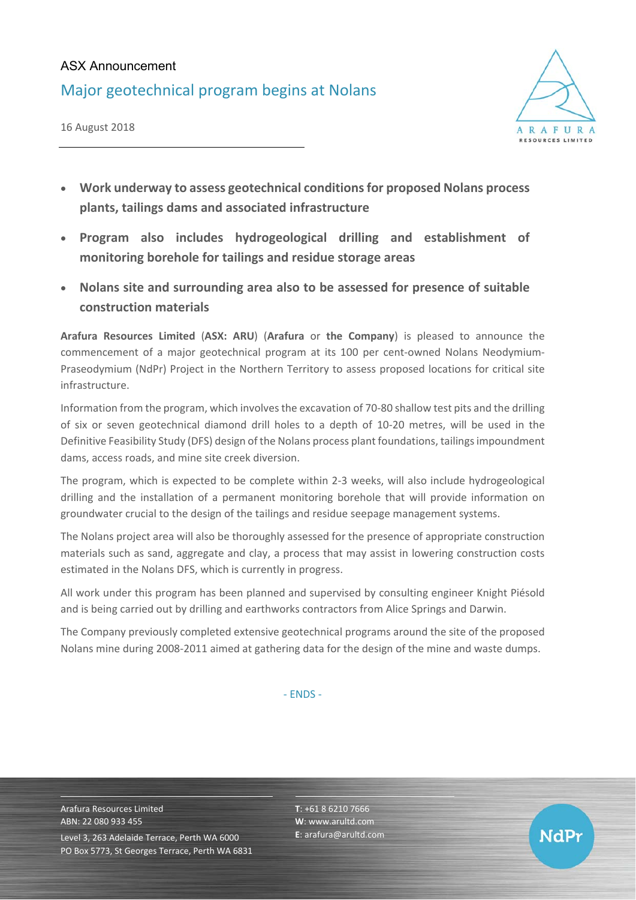## ASX Announcement

Major geotechnical program begins at Nolans





- **Work underway to assess geotechnical conditions for proposed Nolans process plants, tailings dams and associated infrastructure**
- **Program also includes hydrogeological drilling and establishment of monitoring borehole for tailings and residue storage areas**
- **Nolans site and surrounding area also to be assessed for presence of suitable construction materials**

**Arafura Resources Limited** (**ASX: ARU**) (**Arafura** or **the Company**) is pleased to announce the commencement of a major geotechnical program at its 100 per cent-owned Nolans Neodymium-Praseodymium (NdPr) Project in the Northern Territory to assess proposed locations for critical site infrastructure.

Information from the program, which involves the excavation of 70‐80 shallow test pits and the drilling of six or seven geotechnical diamond drill holes to a depth of 10-20 metres, will be used in the Definitive Feasibility Study (DFS) design of the Nolans process plant foundations, tailings impoundment dams, access roads, and mine site creek diversion.

The program, which is expected to be complete within 2‐3 weeks, will also include hydrogeological drilling and the installation of a permanent monitoring borehole that will provide information on groundwater crucial to the design of the tailings and residue seepage management systems.

The Nolans project area will also be thoroughly assessed for the presence of appropriate construction materials such as sand, aggregate and clay, a process that may assist in lowering construction costs estimated in the Nolans DFS, which is currently in progress.

All work under this program has been planned and supervised by consulting engineer Knight Piésold and is being carried out by drilling and earthworks contractors from Alice Springs and Darwin.

The Company previously completed extensive geotechnical programs around the site of the proposed Nolans mine during 2008‐2011 aimed at gathering data for the design of the mine and waste dumps.

‐ ENDS ‐

Arafura Resources Limited ABN: 22 080 933 455 Level 3, 263 Adelaide Terrace, Perth WA 6000 PO Box 5773, St Georges Terrace, Perth WA 6831 **T**: +61 8 6210 7666 **W**: www.arultd.com **E**: arafura@arultd.com

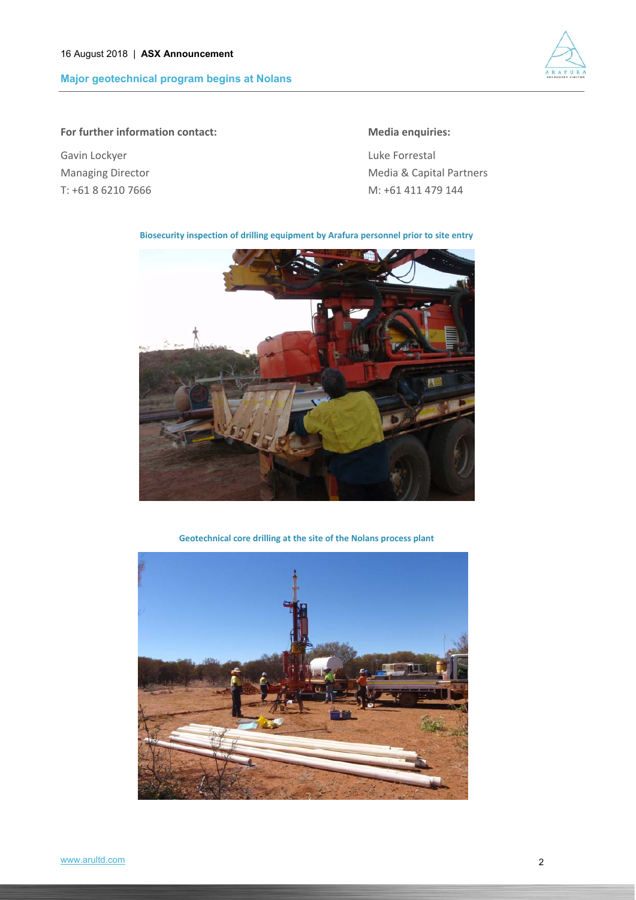**Major geotechnical program begins at Nolans** 



### **For further information contact: Media enquiries:**

Gavin Lockyer **Container and Container Container and Container Container Container Container Container Container** 

Managing Director **Managing Director 1997** Media & Capital Partners T: +61 8 6210 7666 M: +61 411 479 144

#### **Biosecurity inspection of drilling equipment by Arafura personnel prior to site entry**



**Geotechnical core drilling at the site of the Nolans process plant**